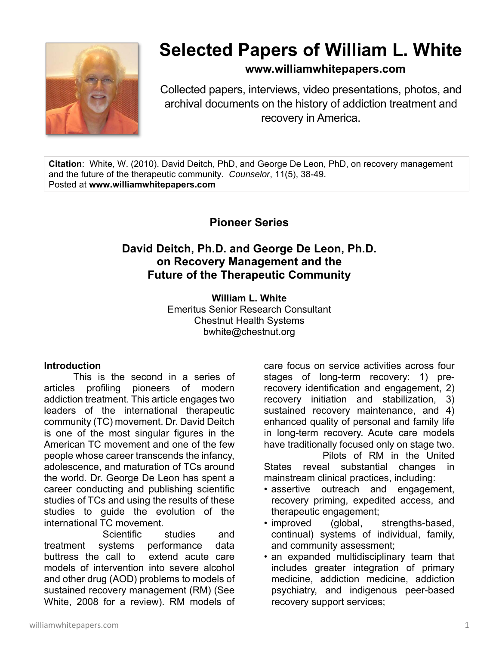

# **Selected Papers of William L. White**

## **www.williamwhitepapers.com**

Collected papers, interviews, video presentations, photos, and archival documents on the history of addiction treatment and recovery in America.

**Citation**: White, W. (2010). David Deitch, PhD, and George De Leon, PhD, on recovery management and the future of the therapeutic community. *Counselor*, 11(5), 38-49. Posted at **www.williamwhitepapers.com** 

# **Pioneer Series**

## **David Deitch, Ph.D. and George De Leon, Ph.D. on Recovery Management and the Future of the Therapeutic Community**

**William L. White**  Emeritus Senior Research Consultant Chestnut Health Systems bwhite@chestnut.org

#### **Introduction**

 This is the second in a series of articles profiling pioneers of modern addiction treatment. This article engages two leaders of the international therapeutic community (TC) movement. Dr. David Deitch is one of the most singular figures in the American TC movement and one of the few people whose career transcends the infancy, adolescence, and maturation of TCs around the world. Dr. George De Leon has spent a career conducting and publishing scientific studies of TCs and using the results of these studies to guide the evolution of the international TC movement.

Scientific studies and treatment systems performance data buttress the call to extend acute care models of intervention into severe alcohol and other drug (AOD) problems to models of sustained recovery management (RM) (See White, 2008 for a review). RM models of

care focus on service activities across four stages of long-term recovery: 1) prerecovery identification and engagement, 2) recovery initiation and stabilization, 3) sustained recovery maintenance, and 4) enhanced quality of personal and family life in long-term recovery. Acute care models have traditionally focused only on stage two.

 Pilots of RM in the United States reveal substantial changes in mainstream clinical practices, including:

- assertive outreach and engagement, recovery priming, expedited access, and therapeutic engagement;
- improved (global, strengths-based, continual) systems of individual, family, and community assessment;
- an expanded multidisciplinary team that includes greater integration of primary medicine, addiction medicine, addiction psychiatry, and indigenous peer-based recovery support services;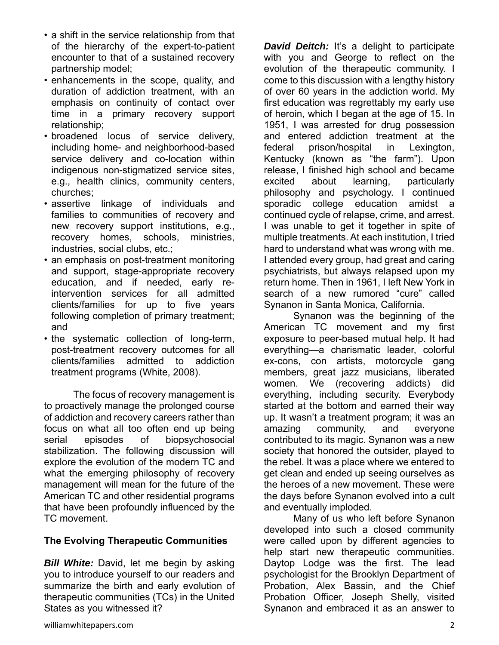- a shift in the service relationship from that of the hierarchy of the expert-to-patient encounter to that of a sustained recovery partnership model;
- enhancements in the scope, quality, and duration of addiction treatment, with an emphasis on continuity of contact over time in a primary recovery support relationship;
- broadened locus of service delivery, including home- and neighborhood-based service delivery and co-location within indigenous non-stigmatized service sites, e.g., health clinics, community centers, churches;
- assertive linkage of individuals and families to communities of recovery and new recovery support institutions, e.g., recovery homes, schools, ministries, industries, social clubs, etc.;
- an emphasis on post-treatment monitoring and support, stage-appropriate recovery education, and if needed, early reintervention services for all admitted clients/families for up to five years following completion of primary treatment; and
- the systematic collection of long-term, post-treatment recovery outcomes for all clients/families admitted to addiction treatment programs (White, 2008).

 The focus of recovery management is to proactively manage the prolonged course of addiction and recovery careers rather than focus on what all too often end up being serial episodes of biopsychosocial stabilization. The following discussion will explore the evolution of the modern TC and what the emerging philosophy of recovery management will mean for the future of the American TC and other residential programs that have been profoundly influenced by the TC movement.

### **The Evolving Therapeutic Communities**

**Bill White:** David, let me begin by asking you to introduce yourself to our readers and summarize the birth and early evolution of therapeutic communities (TCs) in the United States as you witnessed it?

*David Deitch:* It's a delight to participate with you and George to reflect on the evolution of the therapeutic community. I come to this discussion with a lengthy history of over 60 years in the addiction world. My first education was regrettably my early use of heroin, which I began at the age of 15. In 1951, I was arrested for drug possession and entered addiction treatment at the federal prison/hospital in Lexington, Kentucky (known as "the farm"). Upon release, I finished high school and became excited about learning, particularly philosophy and psychology. I continued sporadic college education amidst a continued cycle of relapse, crime, and arrest. I was unable to get it together in spite of multiple treatments. At each institution, I tried hard to understand what was wrong with me. I attended every group, had great and caring psychiatrists, but always relapsed upon my return home. Then in 1961, I left New York in search of a new rumored "cure" called Synanon in Santa Monica, California.

 Synanon was the beginning of the American TC movement and my first exposure to peer-based mutual help. It had everything—a charismatic leader, colorful ex-cons, con artists, motorcycle gang members, great jazz musicians, liberated women. We (recovering addicts) did everything, including security. Everybody started at the bottom and earned their way up. It wasn't a treatment program; it was an amazing community, and everyone contributed to its magic. Synanon was a new society that honored the outsider, played to the rebel. It was a place where we entered to get clean and ended up seeing ourselves as the heroes of a new movement. These were the days before Synanon evolved into a cult and eventually imploded.

 Many of us who left before Synanon developed into such a closed community were called upon by different agencies to help start new therapeutic communities. Daytop Lodge was the first. The lead psychologist for the Brooklyn Department of Probation, Alex Bassin, and the Chief Probation Officer, Joseph Shelly, visited Synanon and embraced it as an answer to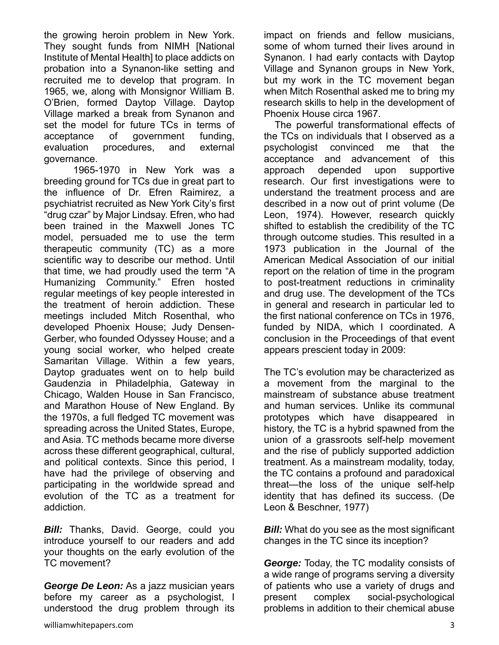the growing heroin problem in New York. They sought funds from NIMH [National Institute of Mental Health] to place addicts on probation into a Synanon-like setting and recruited me to develop that program. In 1965, we, along with Monsignor William B. O'Brien, formed Daytop Village. Daytop Village marked a break from Synanon and set the model for future TCs in terms of acceptance of government funding, evaluation procedures, and external governance.

 1965-1970 in New York was a breeding ground for TCs due in great part to the influence of Dr. Efren Raimirez, a psychiatrist recruited as New York City's first "drug czar" by Major Lindsay. Efren, who had been trained in the Maxwell Jones TC model, persuaded me to use the term therapeutic community (TC) as a more scientific way to describe our method. Until that time, we had proudly used the term "A Humanizing Community." Efren hosted regular meetings of key people interested in the treatment of heroin addiction. These meetings included Mitch Rosenthal, who developed Phoenix House; Judy Densen-Gerber, who founded Odyssey House; and a young social worker, who helped create Samaritan Village. Within a few years, Daytop graduates went on to help build Gaudenzia in Philadelphia, Gateway in Chicago, Walden House in San Francisco, and Marathon House of New England. By the 1970s, a full fledged TC movement was spreading across the United States, Europe, and Asia. TC methods became more diverse across these different geographical, cultural, and political contexts. Since this period, I have had the privilege of observing and participating in the worldwide spread and evolution of the TC as a treatment for addiction.

**Bill:** Thanks, David. George, could you introduce yourself to our readers and add your thoughts on the early evolution of the TC movement?

*George De Leon:* As a jazz musician years before my career as a psychologist, I understood the drug problem through its

impact on friends and fellow musicians, some of whom turned their lives around in Synanon. I had early contacts with Daytop Village and Synanon groups in New York, but my work in the TC movement began when Mitch Rosenthal asked me to bring my research skills to help in the development of Phoenix House circa 1967.

 The powerful transformational effects of the TCs on individuals that I observed as a psychologist convinced me that the acceptance and advancement of this approach depended upon supportive research. Our first investigations were to understand the treatment process and are described in a now out of print volume (De Leon, 1974). However, research quickly shifted to establish the credibility of the TC through outcome studies. This resulted in a 1973 publication in the Journal of the American Medical Association of our initial report on the relation of time in the program to post-treatment reductions in criminality and drug use. The development of the TCs in general and research in particular led to the first national conference on TCs in 1976, funded by NIDA, which I coordinated. A conclusion in the Proceedings of that event appears prescient today in 2009:

The TC's evolution may be characterized as a movement from the marginal to the mainstream of substance abuse treatment and human services. Unlike its communal prototypes which have disappeared in history, the TC is a hybrid spawned from the union of a grassroots self-help movement and the rise of publicly supported addiction treatment. As a mainstream modality, today, the TC contains a profound and paradoxical threat—the loss of the unique self-help identity that has defined its success. (De Leon & Beschner, 1977)

**Bill:** What do you see as the most significant changes in the TC since its inception?

*George:* Today, the TC modality consists of a wide range of programs serving a diversity of patients who use a variety of drugs and present complex social-psychological problems in addition to their chemical abuse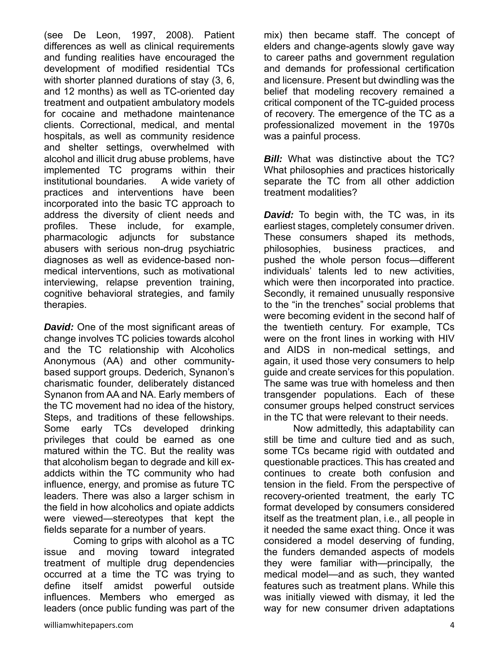(see De Leon, 1997, 2008). Patient differences as well as clinical requirements and funding realities have encouraged the development of modified residential TCs with shorter planned durations of stay (3, 6, and 12 months) as well as TC-oriented day treatment and outpatient ambulatory models for cocaine and methadone maintenance clients. Correctional, medical, and mental hospitals, as well as community residence and shelter settings, overwhelmed with alcohol and illicit drug abuse problems, have implemented TC programs within their institutional boundaries. A wide variety of practices and interventions have been incorporated into the basic TC approach to address the diversity of client needs and profiles. These include, for example, pharmacologic adjuncts for substance abusers with serious non-drug psychiatric diagnoses as well as evidence-based nonmedical interventions, such as motivational interviewing, relapse prevention training, cognitive behavioral strategies, and family therapies.

*David:* One of the most significant areas of change involves TC policies towards alcohol and the TC relationship with Alcoholics Anonymous (AA) and other communitybased support groups. Dederich, Synanon's charismatic founder, deliberately distanced Synanon from AA and NA. Early members of the TC movement had no idea of the history, Steps, and traditions of these fellowships. Some early TCs developed drinking privileges that could be earned as one matured within the TC. But the reality was that alcoholism began to degrade and kill exaddicts within the TC community who had influence, energy, and promise as future TC leaders. There was also a larger schism in the field in how alcoholics and opiate addicts were viewed—stereotypes that kept the fields separate for a number of years.

 Coming to grips with alcohol as a TC issue and moving toward integrated treatment of multiple drug dependencies occurred at a time the TC was trying to define itself amidst powerful outside influences. Members who emerged as leaders (once public funding was part of the

mix) then became staff. The concept of elders and change-agents slowly gave way to career paths and government regulation and demands for professional certification and licensure. Present but dwindling was the belief that modeling recovery remained a critical component of the TC-guided process of recovery. The emergence of the TC as a professionalized movement in the 1970s was a painful process.

**Bill:** What was distinctive about the TC? What philosophies and practices historically separate the TC from all other addiction treatment modalities?

*David:* To begin with, the TC was, in its earliest stages, completely consumer driven. These consumers shaped its methods, philosophies, business practices, and pushed the whole person focus—different individuals' talents led to new activities, which were then incorporated into practice. Secondly, it remained unusually responsive to the "in the trenches" social problems that were becoming evident in the second half of the twentieth century. For example, TCs were on the front lines in working with HIV and AIDS in non-medical settings, and again, it used those very consumers to help guide and create services for this population. The same was true with homeless and then transgender populations. Each of these consumer groups helped construct services in the TC that were relevant to their needs.

 Now admittedly, this adaptability can still be time and culture tied and as such, some TCs became rigid with outdated and questionable practices. This has created and continues to create both confusion and tension in the field. From the perspective of recovery-oriented treatment, the early TC format developed by consumers considered itself as the treatment plan, i.e., all people in it needed the same exact thing. Once it was considered a model deserving of funding, the funders demanded aspects of models they were familiar with—principally, the medical model—and as such, they wanted features such as treatment plans. While this was initially viewed with dismay, it led the way for new consumer driven adaptations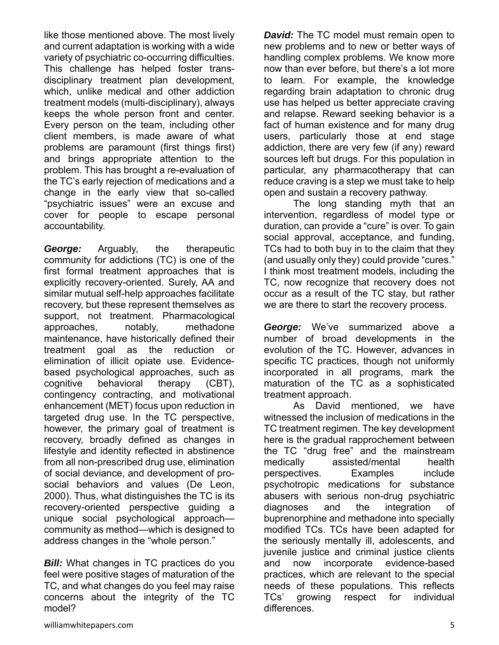like those mentioned above. The most lively and current adaptation is working with a wide variety of psychiatric co-occurring difficulties. This challenge has helped foster transdisciplinary treatment plan development, which, unlike medical and other addiction treatment models (multi-disciplinary), always keeps the whole person front and center. Every person on the team, including other client members, is made aware of what problems are paramount (first things first) and brings appropriate attention to the problem. This has brought a re-evaluation of the TC's early rejection of medications and a change in the early view that so-called "psychiatric issues" were an excuse and cover for people to escape personal accountability.

*George:* Arguably, the therapeutic community for addictions (TC) is one of the first formal treatment approaches that is explicitly recovery-oriented. Surely, AA and similar mutual self-help approaches facilitate recovery, but these represent themselves as support, not treatment. Pharmacological approaches, notably, methadone maintenance, have historically defined their treatment goal as the reduction or elimination of illicit opiate use. Evidencebased psychological approaches, such as cognitive behavioral therapy (CBT), contingency contracting, and motivational enhancement (MET) focus upon reduction in targeted drug use. In the TC perspective, however, the primary goal of treatment is recovery, broadly defined as changes in lifestyle and identity reflected in abstinence from all non-prescribed drug use, elimination of social deviance, and development of prosocial behaviors and values (De Leon, 2000). Thus, what distinguishes the TC is its recovery-oriented perspective guiding a unique social psychological approach community as method—which is designed to address changes in the "whole person."

**Bill:** What changes in TC practices do you feel were positive stages of maturation of the TC, and what changes do you feel may raise concerns about the integrity of the TC model?

*David:* The TC model must remain open to new problems and to new or better ways of handling complex problems. We know more now than ever before, but there's a lot more to learn. For example, the knowledge regarding brain adaptation to chronic drug use has helped us better appreciate craving and relapse. Reward seeking behavior is a fact of human existence and for many drug users, particularly those at end stage addiction, there are very few (if any) reward sources left but drugs. For this population in particular, any pharmacotherapy that can reduce craving is a step we must take to help open and sustain a recovery pathway.

 The long standing myth that an intervention, regardless of model type or duration, can provide a "cure" is over. To gain social approval, acceptance, and funding, TCs had to both buy in to the claim that they (and usually only they) could provide "cures." I think most treatment models, including the TC, now recognize that recovery does not occur as a result of the TC stay, but rather we are there to start the recovery process.

*George:* We've summarized above a number of broad developments in the evolution of the TC. However, advances in specific TC practices, though not uniformly incorporated in all programs, mark the maturation of the TC as a sophisticated treatment approach.

 As David mentioned, we have witnessed the inclusion of medications in the TC treatment regimen. The key development here is the gradual rapprochement between the TC "drug free" and the mainstream medically assisted/mental health perspectives. Examples include psychotropic medications for substance abusers with serious non-drug psychiatric diagnoses and the integration of buprenorphine and methadone into specially modified TCs. TCs have been adapted for the seriously mentally ill, adolescents, and juvenile justice and criminal justice clients and now incorporate evidence-based practices, which are relevant to the special needs of these populations. This reflects TCs' growing respect for individual differences.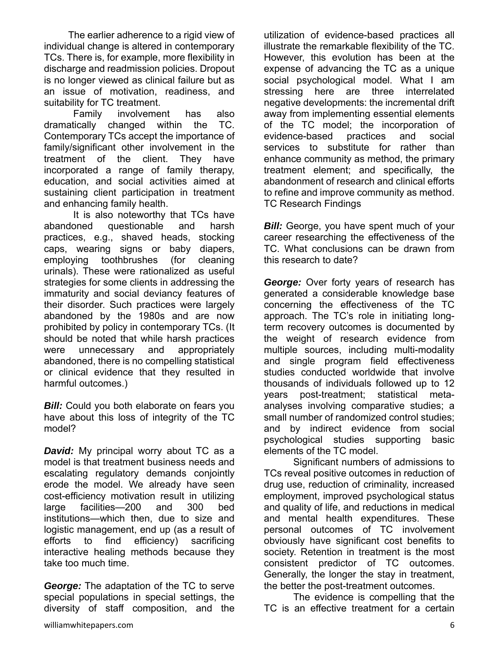The earlier adherence to a rigid view of individual change is altered in contemporary TCs. There is, for example, more flexibility in discharge and readmission policies. Dropout is no longer viewed as clinical failure but as an issue of motivation, readiness, and suitability for TC treatment.

 Family involvement has also dramatically changed within the TC. Contemporary TCs accept the importance of family/significant other involvement in the treatment of the client. They have incorporated a range of family therapy, education, and social activities aimed at sustaining client participation in treatment and enhancing family health.

 It is also noteworthy that TCs have abandoned questionable and harsh practices, e.g., shaved heads, stocking caps, wearing signs or baby diapers, employing toothbrushes (for cleaning urinals). These were rationalized as useful strategies for some clients in addressing the immaturity and social deviancy features of their disorder. Such practices were largely abandoned by the 1980s and are now prohibited by policy in contemporary TCs. (It should be noted that while harsh practices were unnecessary and appropriately abandoned, there is no compelling statistical or clinical evidence that they resulted in harmful outcomes.)

*Bill:* Could you both elaborate on fears you have about this loss of integrity of the TC model?

*David:* My principal worry about TC as a model is that treatment business needs and escalating regulatory demands conjointly erode the model. We already have seen cost-efficiency motivation result in utilizing large facilities—200 and 300 bed institutions—which then, due to size and logistic management, end up (as a result of efforts to find efficiency) sacrificing interactive healing methods because they take too much time.

*George:* The adaptation of the TC to serve special populations in special settings, the diversity of staff composition, and the

utilization of evidence-based practices all illustrate the remarkable flexibility of the TC. However, this evolution has been at the expense of advancing the TC as a unique social psychological model. What I am stressing here are three interrelated negative developments: the incremental drift away from implementing essential elements of the TC model; the incorporation of evidence-based practices and social services to substitute for rather than enhance community as method, the primary treatment element; and specifically, the abandonment of research and clinical efforts to refine and improve community as method. TC Research Findings

*Bill:* George, you have spent much of your career researching the effectiveness of the TC. What conclusions can be drawn from this research to date?

*George:* Over forty years of research has generated a considerable knowledge base concerning the effectiveness of the TC approach. The TC's role in initiating longterm recovery outcomes is documented by the weight of research evidence from multiple sources, including multi-modality and single program field effectiveness studies conducted worldwide that involve thousands of individuals followed up to 12 years post-treatment; statistical metaanalyses involving comparative studies; a small number of randomized control studies; and by indirect evidence from social psychological studies supporting basic elements of the TC model.

 Significant numbers of admissions to TCs reveal positive outcomes in reduction of drug use, reduction of criminality, increased employment, improved psychological status and quality of life, and reductions in medical and mental health expenditures. These personal outcomes of TC involvement obviously have significant cost benefits to society. Retention in treatment is the most consistent predictor of TC outcomes. Generally, the longer the stay in treatment, the better the post-treatment outcomes.

 The evidence is compelling that the TC is an effective treatment for a certain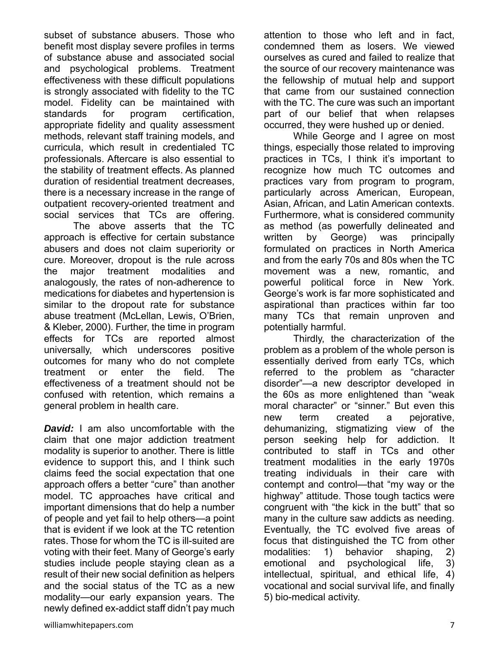subset of substance abusers. Those who benefit most display severe profiles in terms of substance abuse and associated social and psychological problems. Treatment effectiveness with these difficult populations is strongly associated with fidelity to the TC model. Fidelity can be maintained with standards for program certification, appropriate fidelity and quality assessment methods, relevant staff training models, and curricula, which result in credentialed TC professionals. Aftercare is also essential to the stability of treatment effects. As planned duration of residential treatment decreases, there is a necessary increase in the range of outpatient recovery-oriented treatment and social services that TCs are offering.

 The above asserts that the TC approach is effective for certain substance abusers and does not claim superiority or cure. Moreover, dropout is the rule across the major treatment modalities and analogously, the rates of non-adherence to medications for diabetes and hypertension is similar to the dropout rate for substance abuse treatment (McLellan, Lewis, O'Brien, & Kleber, 2000). Further, the time in program effects for TCs are reported almost universally, which underscores positive outcomes for many who do not complete treatment or enter the field. The effectiveness of a treatment should not be confused with retention, which remains a general problem in health care.

*David:* I am also uncomfortable with the claim that one major addiction treatment modality is superior to another. There is little evidence to support this, and I think such claims feed the social expectation that one approach offers a better "cure" than another model. TC approaches have critical and important dimensions that do help a number of people and yet fail to help others—a point that is evident if we look at the TC retention rates. Those for whom the TC is ill-suited are voting with their feet. Many of George's early studies include people staying clean as a result of their new social definition as helpers and the social status of the TC as a new modality—our early expansion years. The newly defined ex-addict staff didn't pay much attention to those who left and in fact, condemned them as losers. We viewed ourselves as cured and failed to realize that the source of our recovery maintenance was the fellowship of mutual help and support that came from our sustained connection with the TC. The cure was such an important part of our belief that when relapses occurred, they were hushed up or denied.

 While George and I agree on most things, especially those related to improving practices in TCs, I think it's important to recognize how much TC outcomes and practices vary from program to program, particularly across American, European, Asian, African, and Latin American contexts. Furthermore, what is considered community as method (as powerfully delineated and written by George) was principally formulated on practices in North America and from the early 70s and 80s when the TC movement was a new, romantic, and powerful political force in New York. George's work is far more sophisticated and aspirational than practices within far too many TCs that remain unproven and potentially harmful.

 Thirdly, the characterization of the problem as a problem of the whole person is essentially derived from early TCs, which referred to the problem as "character disorder"—a new descriptor developed in the 60s as more enlightened than "weak moral character" or "sinner." But even this new term created a pejorative, dehumanizing, stigmatizing view of the person seeking help for addiction. It contributed to staff in TCs and other treatment modalities in the early 1970s treating individuals in their care with contempt and control—that "my way or the highway" attitude. Those tough tactics were congruent with "the kick in the butt" that so many in the culture saw addicts as needing. Eventually, the TC evolved five areas of focus that distinguished the TC from other modalities: 1) behavior shaping, 2) emotional and psychological life, 3) intellectual, spiritual, and ethical life, 4) vocational and social survival life, and finally 5) bio-medical activity.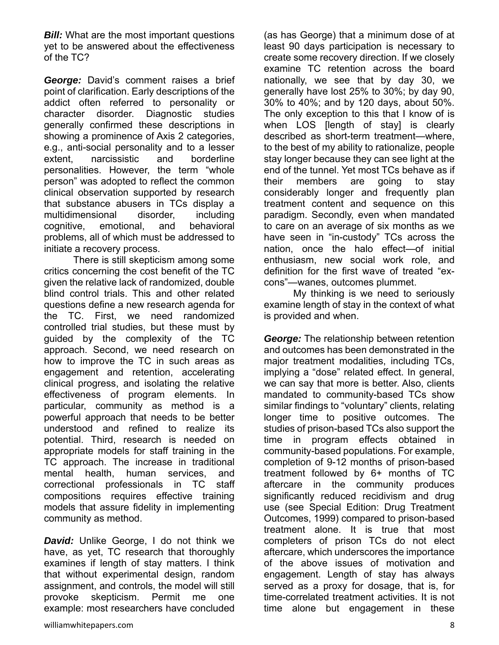*Bill:* What are the most important questions yet to be answered about the effectiveness of the TC?

*George:* David's comment raises a brief point of clarification. Early descriptions of the addict often referred to personality or character disorder. Diagnostic studies generally confirmed these descriptions in showing a prominence of Axis 2 categories, e.g., anti-social personality and to a lesser extent, narcissistic and borderline personalities. However, the term "whole person" was adopted to reflect the common clinical observation supported by research that substance abusers in TCs display a multidimensional disorder, including cognitive, emotional, and behavioral problems, all of which must be addressed to initiate a recovery process.

 There is still skepticism among some critics concerning the cost benefit of the TC given the relative lack of randomized, double blind control trials. This and other related questions define a new research agenda for the TC. First, we need randomized controlled trial studies, but these must by guided by the complexity of the TC approach. Second, we need research on how to improve the TC in such areas as engagement and retention, accelerating clinical progress, and isolating the relative effectiveness of program elements. In particular, community as method is a powerful approach that needs to be better understood and refined to realize its potential. Third, research is needed on appropriate models for staff training in the TC approach. The increase in traditional mental health, human services, and correctional professionals in TC staff compositions requires effective training models that assure fidelity in implementing community as method.

**David:** Unlike George, I do not think we have, as yet, TC research that thoroughly examines if length of stay matters. I think that without experimental design, random assignment, and controls, the model will still provoke skepticism. Permit me one example: most researchers have concluded

(as has George) that a minimum dose of at least 90 days participation is necessary to create some recovery direction. If we closely examine TC retention across the board nationally, we see that by day 30, we generally have lost 25% to 30%; by day 90, 30% to 40%; and by 120 days, about 50%. The only exception to this that I know of is when LOS [length of stay] is clearly described as short-term treatment—where, to the best of my ability to rationalize, people stay longer because they can see light at the end of the tunnel. Yet most TCs behave as if their members are going to stay considerably longer and frequently plan treatment content and sequence on this paradigm. Secondly, even when mandated to care on an average of six months as we have seen in "in-custody" TCs across the nation, once the halo effect—of initial enthusiasm, new social work role, and definition for the first wave of treated "excons"—wanes, outcomes plummet.

 My thinking is we need to seriously examine length of stay in the context of what is provided and when.

*George:* The relationship between retention and outcomes has been demonstrated in the major treatment modalities, including TCs, implying a "dose" related effect. In general, we can say that more is better. Also, clients mandated to community-based TCs show similar findings to "voluntary" clients, relating longer time to positive outcomes. The studies of prison-based TCs also support the time in program effects obtained in community-based populations. For example, completion of 9-12 months of prison-based treatment followed by 6+ months of TC aftercare in the community produces significantly reduced recidivism and drug use (see Special Edition: Drug Treatment Outcomes, 1999) compared to prison-based treatment alone. It is true that most completers of prison TCs do not elect aftercare, which underscores the importance of the above issues of motivation and engagement. Length of stay has always served as a proxy for dosage, that is, for time-correlated treatment activities. It is not time alone but engagement in these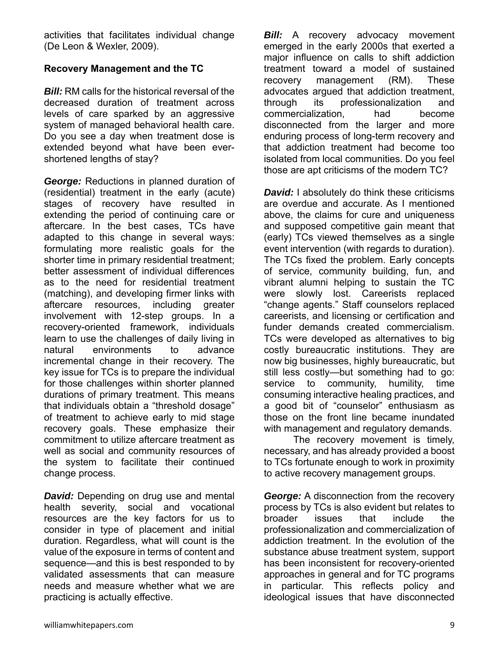activities that facilitates individual change (De Leon & Wexler, 2009).

## **Recovery Management and the TC**

*Bill:* RM calls for the historical reversal of the decreased duration of treatment across levels of care sparked by an aggressive system of managed behavioral health care. Do you see a day when treatment dose is extended beyond what have been evershortened lengths of stay?

*George:* Reductions in planned duration of (residential) treatment in the early (acute) stages of recovery have resulted in extending the period of continuing care or aftercare. In the best cases, TCs have adapted to this change in several ways: formulating more realistic goals for the shorter time in primary residential treatment; better assessment of individual differences as to the need for residential treatment (matching), and developing firmer links with aftercare resources, including greater involvement with 12-step groups. In a recovery-oriented framework, individuals learn to use the challenges of daily living in natural environments to advance incremental change in their recovery. The key issue for TCs is to prepare the individual for those challenges within shorter planned durations of primary treatment. This means that individuals obtain a "threshold dosage" of treatment to achieve early to mid stage recovery goals. These emphasize their commitment to utilize aftercare treatment as well as social and community resources of the system to facilitate their continued change process.

*David:* Depending on drug use and mental health severity, social and vocational resources are the key factors for us to consider in type of placement and initial duration. Regardless, what will count is the value of the exposure in terms of content and sequence—and this is best responded to by validated assessments that can measure needs and measure whether what we are practicing is actually effective.

*Bill:* A recovery advocacy movement emerged in the early 2000s that exerted a major influence on calls to shift addiction treatment toward a model of sustained recovery management (RM). These advocates argued that addiction treatment, through its professionalization and commercialization, had become disconnected from the larger and more enduring process of long-term recovery and that addiction treatment had become too isolated from local communities. Do you feel those are apt criticisms of the modern TC?

*David:* I absolutely do think these criticisms are overdue and accurate. As I mentioned above, the claims for cure and uniqueness and supposed competitive gain meant that (early) TCs viewed themselves as a single event intervention (with regards to duration). The TCs fixed the problem. Early concepts of service, community building, fun, and vibrant alumni helping to sustain the TC were slowly lost. Careerists replaced "change agents." Staff counselors replaced careerists, and licensing or certification and funder demands created commercialism. TCs were developed as alternatives to big costly bureaucratic institutions. They are now big businesses, highly bureaucratic, but still less costly—but something had to go: service to community, humility, time consuming interactive healing practices, and a good bit of "counselor" enthusiasm as those on the front line became inundated with management and regulatory demands.

 The recovery movement is timely, necessary, and has already provided a boost to TCs fortunate enough to work in proximity to active recovery management groups.

*George:* A disconnection from the recovery process by TCs is also evident but relates to broader issues that include the professionalization and commercialization of addiction treatment. In the evolution of the substance abuse treatment system, support has been inconsistent for recovery-oriented approaches in general and for TC programs in particular. This reflects policy and ideological issues that have disconnected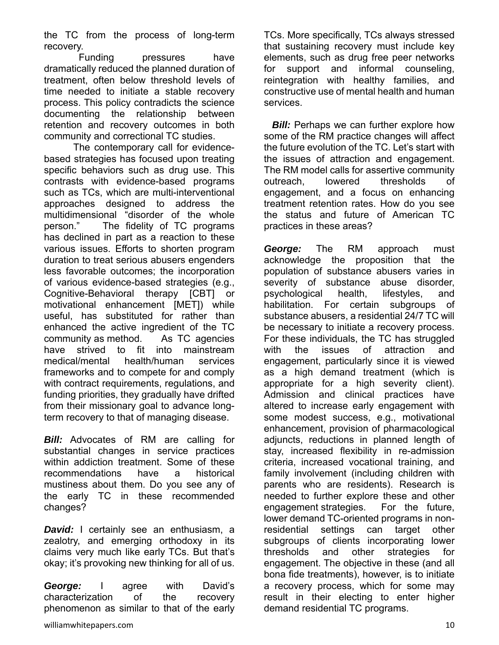the TC from the process of long-term recovery.

 Funding pressures have dramatically reduced the planned duration of treatment, often below threshold levels of time needed to initiate a stable recovery process. This policy contradicts the science documenting the relationship between retention and recovery outcomes in both community and correctional TC studies.

 The contemporary call for evidencebased strategies has focused upon treating specific behaviors such as drug use. This contrasts with evidence-based programs such as TCs, which are multi-interventional approaches designed to address the multidimensional "disorder of the whole person." The fidelity of TC programs has declined in part as a reaction to these various issues. Efforts to shorten program duration to treat serious abusers engenders less favorable outcomes; the incorporation of various evidence-based strategies (e.g., Cognitive-Behavioral therapy [CBT] or motivational enhancement [MET]) while useful, has substituted for rather than enhanced the active ingredient of the TC community as method. As TC agencies have strived to fit into mainstream medical/mental health/human services frameworks and to compete for and comply with contract requirements, regulations, and funding priorities, they gradually have drifted from their missionary goal to advance longterm recovery to that of managing disease.

**Bill:** Advocates of RM are calling for substantial changes in service practices within addiction treatment. Some of these recommendations have a historical mustiness about them. Do you see any of the early TC in these recommended changes?

*David:* I certainly see an enthusiasm, a zealotry, and emerging orthodoxy in its claims very much like early TCs. But that's okay; it's provoking new thinking for all of us.

*George:* I agree with David's characterization of the recovery phenomenon as similar to that of the early

**Bill:** Perhaps we can further explore how some of the RM practice changes will affect the future evolution of the TC. Let's start with the issues of attraction and engagement. The RM model calls for assertive community outreach, lowered thresholds of engagement, and a focus on enhancing treatment retention rates. How do you see the status and future of American TC practices in these areas?

*George:* The RM approach must acknowledge the proposition that the population of substance abusers varies in severity of substance abuse disorder, psychological health, lifestyles, and habilitation. For certain subgroups of substance abusers, a residential 24/7 TC will be necessary to initiate a recovery process. For these individuals, the TC has struggled with the issues of attraction and engagement, particularly since it is viewed as a high demand treatment (which is appropriate for a high severity client). Admission and clinical practices have altered to increase early engagement with some modest success, e.g., motivational enhancement, provision of pharmacological adjuncts, reductions in planned length of stay, increased flexibility in re-admission criteria, increased vocational training, and family involvement (including children with parents who are residents). Research is needed to further explore these and other engagement strategies. For the future, lower demand TC-oriented programs in nonresidential settings can target other subgroups of clients incorporating lower thresholds and other strategies for engagement. The objective in these (and all bona fide treatments), however, is to initiate a recovery process, which for some may result in their electing to enter higher demand residential TC programs.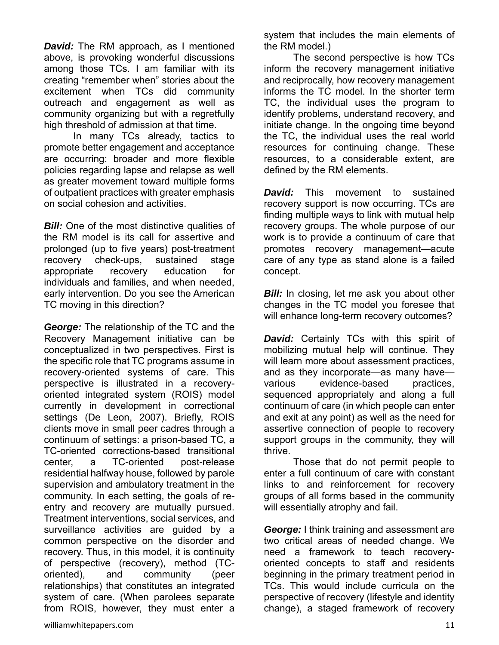**David:** The RM approach, as I mentioned above, is provoking wonderful discussions among those TCs. I am familiar with its creating "remember when" stories about the excitement when TCs did community outreach and engagement as well as community organizing but with a regretfully high threshold of admission at that time.

 In many TCs already, tactics to promote better engagement and acceptance are occurring: broader and more flexible policies regarding lapse and relapse as well as greater movement toward multiple forms of outpatient practices with greater emphasis on social cohesion and activities.

**Bill:** One of the most distinctive qualities of the RM model is its call for assertive and prolonged (up to five years) post-treatment recovery check-ups, sustained stage appropriate recovery education for individuals and families, and when needed, early intervention. Do you see the American TC moving in this direction?

*George:* The relationship of the TC and the Recovery Management initiative can be conceptualized in two perspectives. First is the specific role that TC programs assume in recovery-oriented systems of care. This perspective is illustrated in a recoveryoriented integrated system (ROIS) model currently in development in correctional settings (De Leon, 2007). Briefly, ROIS clients move in small peer cadres through a continuum of settings: a prison-based TC, a TC-oriented corrections-based transitional center, a TC-oriented post-release residential halfway house, followed by parole supervision and ambulatory treatment in the community. In each setting, the goals of reentry and recovery are mutually pursued. Treatment interventions, social services, and surveillance activities are guided by a common perspective on the disorder and recovery. Thus, in this model, it is continuity of perspective (recovery), method (TCoriented), and community (peer relationships) that constitutes an integrated system of care. (When parolees separate from ROIS, however, they must enter a system that includes the main elements of the RM model.)

 The second perspective is how TCs inform the recovery management initiative and reciprocally, how recovery management informs the TC model. In the shorter term TC, the individual uses the program to identify problems, understand recovery, and initiate change. In the ongoing time beyond the TC, the individual uses the real world resources for continuing change. These resources, to a considerable extent, are defined by the RM elements.

**David:** This movement to sustained recovery support is now occurring. TCs are finding multiple ways to link with mutual help recovery groups. The whole purpose of our work is to provide a continuum of care that promotes recovery management—acute care of any type as stand alone is a failed concept.

**Bill:** In closing, let me ask you about other changes in the TC model you foresee that will enhance long-term recovery outcomes?

**David:** Certainly TCs with this spirit of mobilizing mutual help will continue. They will learn more about assessment practices, and as they incorporate—as many have various evidence-based practices, sequenced appropriately and along a full continuum of care (in which people can enter and exit at any point) as well as the need for assertive connection of people to recovery support groups in the community, they will thrive.

 Those that do not permit people to enter a full continuum of care with constant links to and reinforcement for recovery groups of all forms based in the community will essentially atrophy and fail.

*George:* I think training and assessment are two critical areas of needed change. We need a framework to teach recoveryoriented concepts to staff and residents beginning in the primary treatment period in TCs. This would include curricula on the perspective of recovery (lifestyle and identity change), a staged framework of recovery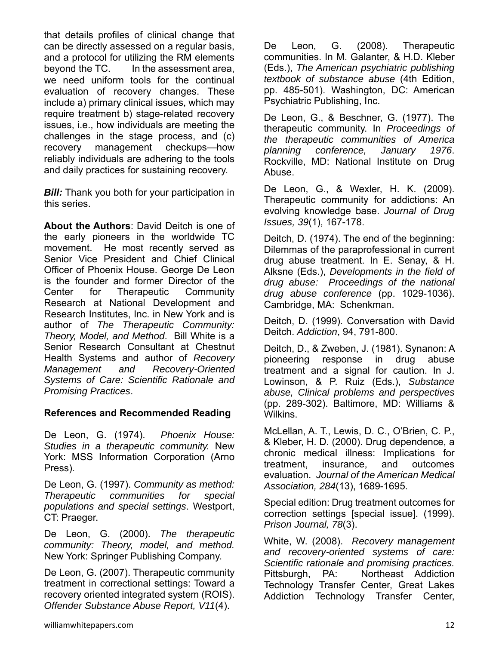that details profiles of clinical change that can be directly assessed on a regular basis, and a protocol for utilizing the RM elements beyond the TC. In the assessment area, we need uniform tools for the continual evaluation of recovery changes. These include a) primary clinical issues, which may require treatment b) stage-related recovery issues, i.e., how individuals are meeting the challenges in the stage process, and (c) recovery management checkups—how reliably individuals are adhering to the tools and daily practices for sustaining recovery.

**Bill:** Thank you both for your participation in this series.

**About the Authors**: David Deitch is one of the early pioneers in the worldwide TC movement. He most recently served as Senior Vice President and Chief Clinical Officer of Phoenix House. George De Leon is the founder and former Director of the Center for Therapeutic Community Research at National Development and Research Institutes, Inc. in New York and is author of *The Therapeutic Community: Theory, Model, and Method*. Bill White is a Senior Research Consultant at Chestnut Health Systems and author of *Recovery Management and Recovery-Oriented Systems of Care: Scientific Rationale and Promising Practices*.

#### **References and Recommended Reading**

De Leon, G. (1974). *Phoenix House: Studies in a therapeutic community.* New York: MSS Information Corporation (Arno Press).

De Leon, G. (1997). *Community as method: Therapeutic communities for special populations and special settings*. Westport, CT: Praeger.

De Leon, G. (2000). *The therapeutic community: Theory, model, and method.* New York: Springer Publishing Company.

De Leon, G. (2007). Therapeutic community treatment in correctional settings: Toward a recovery oriented integrated system (ROIS). *Offender Substance Abuse Report, V11*(4).

De Leon, G. (2008). Therapeutic communities. In M. Galanter, & H.D. Kleber (Eds.), *The American psychiatric publishing textbook of substance abuse* (4th Edition, pp. 485-501). Washington, DC: American Psychiatric Publishing, Inc.

De Leon, G., & Beschner, G. (1977). The therapeutic community. In *Proceedings of the therapeutic communities of America planning conference, January 1976*. Rockville, MD: National Institute on Drug Abuse.

De Leon, G., & Wexler, H. K. (2009). Therapeutic community for addictions: An evolving knowledge base. *Journal of Drug Issues, 39*(1), 167-178.

Deitch, D. (1974). The end of the beginning: Dilemmas of the paraprofessional in current drug abuse treatment. In E. Senay, & H. Alksne (Eds.), *Developments in the field of drug abuse: Proceedings of the national drug abuse conference* (pp. 1029-1036). Cambridge, MA: Schenkman.

Deitch, D. (1999). Conversation with David Deitch. *Addiction*, 94, 791-800.

Deitch, D., & Zweben, J. (1981). Synanon: A pioneering response in drug abuse treatment and a signal for caution. In J. Lowinson, & P. Ruiz (Eds.), *Substance abuse, Clinical problems and perspectives* (pp. 289-302). Baltimore, MD: Williams & Wilkins.

McLellan, A. T., Lewis, D. C., O'Brien, C. P., & Kleber, H. D. (2000). Drug dependence, a chronic medical illness: Implications for treatment, insurance, and outcomes evaluation. *Journal of the American Medical Association, 284*(13), 1689-1695.

Special edition: Drug treatment outcomes for correction settings [special issue]. (1999). *Prison Journal, 78*(3).

White, W. (2008). *Recovery management and recovery-oriented systems of care: Scientific rationale and promising practices.* Pittsburgh, PA: Northeast Addiction Technology Transfer Center, Great Lakes Addiction Technology Transfer Center,